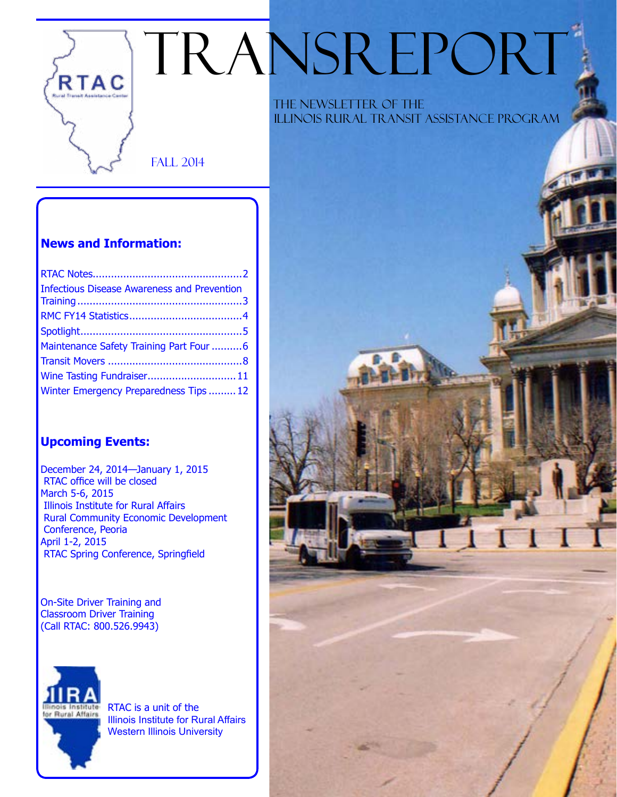# TRANSREPORT

Fall 2014

### **News and Information:**

RTAC

| <b>Infectious Disease Awareness and Prevention</b> |  |
|----------------------------------------------------|--|
|                                                    |  |
|                                                    |  |
| Maintenance Safety Training Part Four 6            |  |
|                                                    |  |
| Wine Tasting Fundraiser 11                         |  |
| Winter Emergency Preparedness Tips  12             |  |

### **Upcoming Events:**

December 24, 2014—January 1, 2015 RTAC office will be closed March 5-6, 2015 Illinois Institute for Rural Affairs Rural Community Economic Development Conference, Peoria April 1-2, 2015 RTAC Spring Conference, Springfield

On-Site Driver Training and Classroom Driver Training (Call RTAC: 800.526.9943)



RTAC is a unit of the Illinois Institute for Rural Affairs Western Illinois University

 The Newsletter of the Illinois Rural Transit Assistance Program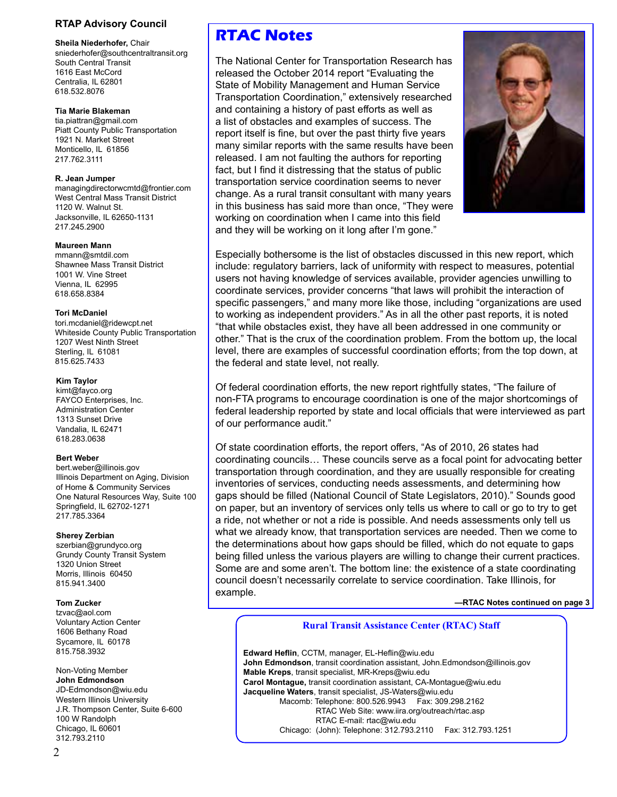### **RTAP Advisory Council**

sniederhofer@southcentraltransit.org

**Maureen Mann**

## **Kim Taylor**<br>kimt@fayco.org

618.283.0638

tzvac@aol.com<br>Voluntary Action Center Sycamore, IL 60178

312.793.2110

South Central Transit Transit Transit Transit Transit Transportation Research has 1616 East McCord **Released the October 2014 report "Evaluating the Cordination** Centralia, IL 62801 Centralia, IL 62801 State of Mobility Management and Human Service 618.532.8076 Transportation Coordination," extensively researched **Tia Marie Blakeman and containing a history of past efforts as well as** tia.piattran@gmail.com a list of obstacles and examples of success. The<br>Piatt County Public Transportation contract itself is fine, but over the past thirty five you Piatt County Public Transportation report itself is fine, but over the past thirty five years<br>1921 N. Market Street reports with the same results have bee Monticello, IL 61856<br>217.762.3111 many similar reports with the same results have been<br>217.762.3111 released. I am not faulting the authors for reporting fact, but I find it distressing that the status of public **R. Jean Jumper**<br> **R. Jean Jumper** transportation service coordination seems to never<br> **ARE THE SERVICE COORDINATION** managinguilectorwchital moment.com change. As a rural transit consultant with many years West Central Mass Transit District 1120 W. Walnut St. **in this business has said more than once, "They were** Jacksonville, IL 62650-1131 working on coordination when I came into this field and they will be working on it long after I'm gone."



Especially bothersome is the list of obstacles discussed in this new report, which Shawnee Mass Transit District include: regulatory barriers, lack of uniformity with respect to measures, potential 1001 W. Vine Street Units of the Units of Maying Knowledge of services available, provider agencies unwilli 618.658.8384 coordinate services, provider concerns "that laws will prohibit the interaction of specific passengers," and many more like those, including "organizations are used Tori McDaniel<br>tori mcdaniel@ridewcpt.net tori.mcdaniel@ridewcpt.net tori.mcdaniel@ridewcpt.net tori.mcdaniel@ridewcpt.net tori<br>Whiteside County Public Transportation the vehicle sexist, they have all been addressed in one 1207 West Ninth Street **other.** That is the crux of the coordination problem. From the bottom up, the local Sterling, IL 61081 **included in the level, there are examples of successful coordination efforts; from the top down, at state of successful coordination efforts; from the top down, at state federal and state level not real** the federal and state level, not really.

Of federal coordination efforts, the new report rightfully states, "The failure of FAYCO Enterprises, Inc. **non-FTA programs to encourage coordination is one of the major shortcomings of** Administration Center federal leadership reported by state and local officials that were interviewed as part 1313 Sunset Drive 1313 Sunset Drive of our performance audit." Vandalia, IL 62471

Of state coordination efforts, the report offers, "As of 2010, 26 states had Bert Weber<br>bert weber@illinois.gov<br>Illinois.gov coordination through coordination, and they are usually responsible for creating<br>Illinois Department on Aging, Division transportation through coordination, and they are usua of Home & Community Services inventories of services, conducting needs assessments, and determining how<br>One Natural Resources Way, Suite 100 gaps should be filled (National Council of State Legislators, 2010)." Sounds go gaps should be filled (National Council of State Legislators, 2010)." Sounds good Springfield, IL 62702-1271 on paper, but an inventory of services only tells us where to call or go to try to get<br>217.785.3364 a ride, not whether or not a ride is possible. And needs assessments only tell us **Sherey Zerbian** what we already know, that transportation services are needed. Then we come to szerbian@grundyco.org<br>the determinations about how gaps should be filled, which do not equate to gaps the determinations about how gaps should be filled, which do not equate to gaps Grundy County Transit System<br>
1320 Union Street<br>
Morris Illinois 60450<br>
Morris Illinois 60450<br>
Some are and some aren't. The bottom line: the existence of a state coordinating 815.941.3400 council doesn't necessarily correlate to service coordination. Take Illinois, for example.

**Tom Zucker —RTAC Notes continued on page 3**

### Voluntary Action Center **Rural Transit Assistance Center (RTAC) Staff** 1606 Bethany Road

815.758.3932 **Edward Heflin**, CCTM, manager, EL-Heflin@wiu.edu **John Edmondson**, transit coordination assistant, John.Edmondson@illinois.gov Non-Voting Member **Mable Kreps**, transit specialist, MR-Kreps@wiu.edu<br> **John Edmondson** Carol Montague transit coordination assistant CA-**John Edmondson**<br>JD-Edmondson@wiu.edu<br>Jacqueline Waters transit specialist JS-Waters@wiu.edu JD-Edmondson@wiu.edu **Jacqueline Waters**, transit specialist, JS-Waters@wiu.edu Western Illinois University **Macomb: Telephone: 800.526.9943** Fax: 309.298.2162<br>J.R. Thompson Center, Suite 6-600 **RTAC Web Site:** www.iira.org/outreach/rtac.asp J.R. Thompson Center, Suite 6-600 **RTAC Web Site: www.iira.org/outreach/rtac.asp**<br>100 W Randolph **RTAC E-mail: rtac@wiu.edu** 100 W Randolph RTAC E-mail: rtac@wiu.edu<br>Chicago. IL 60601 Chicago ( Iohn): Telephone: 312.793 Chicago: (John): Telephone: 312.793.2110 Fax: 312.793.1251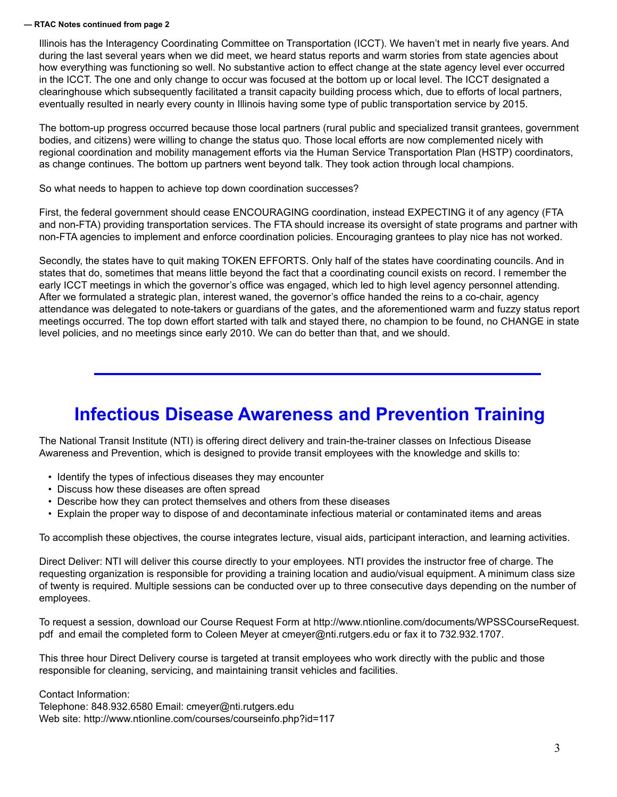### **— RTAC Notes continued from page 2**

Illinois has the Interagency Coordinating Committee on Transportation (ICCT). We haven't met in nearly five years. And during the last several years when we did meet, we heard status reports and warm stories from state agencies about how everything was functioning so well. No substantive action to effect change at the state agency level ever occurred in the ICCT. The one and only change to occur was focused at the bottom up or local level. The ICCT designated a clearinghouse which subsequently facilitated a transit capacity building process which, due to efforts of local partners, eventually resulted in nearly every county in Illinois having some type of public transportation service by 2015.

The bottom-up progress occurred because those local partners (rural public and specialized transit grantees, government bodies, and citizens) were willing to change the status quo. Those local efforts are now complemented nicely with regional coordination and mobility management efforts via the Human Service Transportation Plan (HSTP) coordinators, as change continues. The bottom up partners went beyond talk. They took action through local champions.

So what needs to happen to achieve top down coordination successes?

First, the federal government should cease ENCOURAGING coordination, instead EXPECTING it of any agency (FTA and non-FTA) providing transportation services. The FTA should increase its oversight of state programs and partner with non-FTA agencies to implement and enforce coordination policies. Encouraging grantees to play nice has not worked.

Secondly, the states have to quit making TOKEN EFFORTS. Only half of the states have coordinating councils. And in states that do, sometimes that means little beyond the fact that a coordinating council exists on record. I remember the early ICCT meetings in which the governor's office was engaged, which led to high level agency personnel attending. After we formulated a strategic plan, interest waned, the governor's office handed the reins to a co-chair, agency attendance was delegated to note-takers or guardians of the gates, and the aforementioned warm and fuzzy status report meetings occurred. The top down effort started with talk and stayed there, no champion to be found, no CHANGE in state level policies, and no meetings since early 2010. We can do better than that, and we should.

# **Infectious Disease Awareness and Prevention Training**

The National Transit Institute (NTI) is offering direct delivery and train-the-trainer classes on Infectious Disease Awareness and Prevention, which is designed to provide transit employees with the knowledge and skills to:

- Identify the types of infectious diseases they may encounter
- Discuss how these diseases are often spread
- Describe how they can protect themselves and others from these diseases
- Explain the proper way to dispose of and decontaminate infectious material or contaminated items and areas

To accomplish these objectives, the course integrates lecture, visual aids, participant interaction, and learning activities.

Direct Deliver: NTI will deliver this course directly to your employees. NTI provides the instructor free of charge. The requesting organization is responsible for providing a training location and audio/visual equipment. A minimum class size of twenty is required. Multiple sessions can be conducted over up to three consecutive days depending on the number of employees.

To request a session, download our Course Request Form at http://www.ntionline.com/documents/WPSSCourseRequest. pdf and email the completed form to Coleen Meyer at cmeyer@nti.rutgers.edu or fax it to 732.932.1707.

This three hour Direct Delivery course is targeted at transit employees who work directly with the public and those responsible for cleaning, servicing, and maintaining transit vehicles and facilities.

Contact Information: Telephone: 848.932.6580 Email: cmeyer@nti.rutgers.edu Web site: http://www.ntionline.com/courses/courseinfo.php?id=117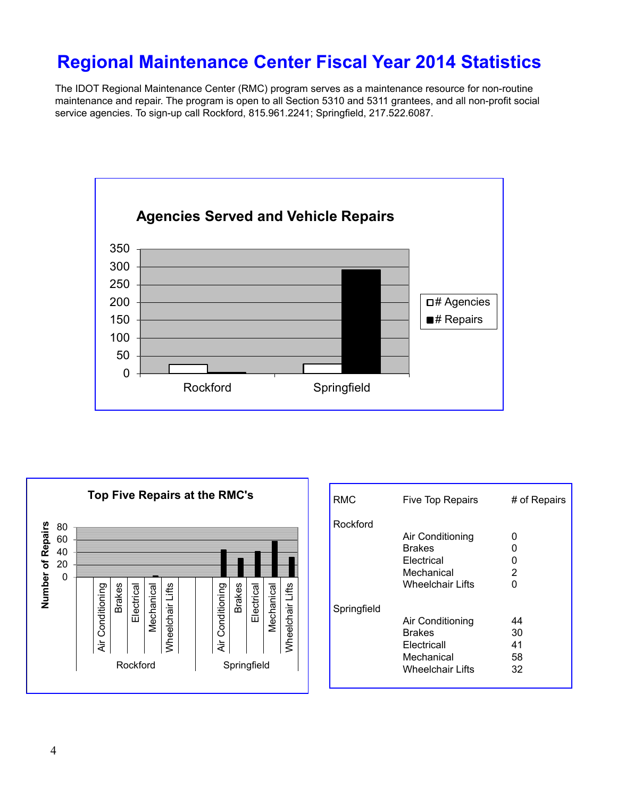# **Regional Maintenance Center Fiscal Year 2014 Statistics**

The IDOT Regional Maintenance Center (RMC) program serves as a maintenance resource for non-routine maintenance and repair. The program is open to all Section 5310 and 5311 grantees, and all non-profit social service agencies. To sign-up call Rockford, 815.961.2241; Springfield, 217.522.6087.





| <b>RMC</b>  | <b>Five Top Repairs</b>                                                            | # of Repairs               |
|-------------|------------------------------------------------------------------------------------|----------------------------|
| Rockford    | Air Conditioning<br>Brakes<br>Electrical<br>Mechanical<br>Wheelchair Lifts         | O<br>n<br>0<br>2<br>U      |
| Springfield | Air Conditioning<br>Brakes<br>Electricall<br>Mechanical<br><b>Wheelchair Lifts</b> | 44<br>30<br>41<br>58<br>32 |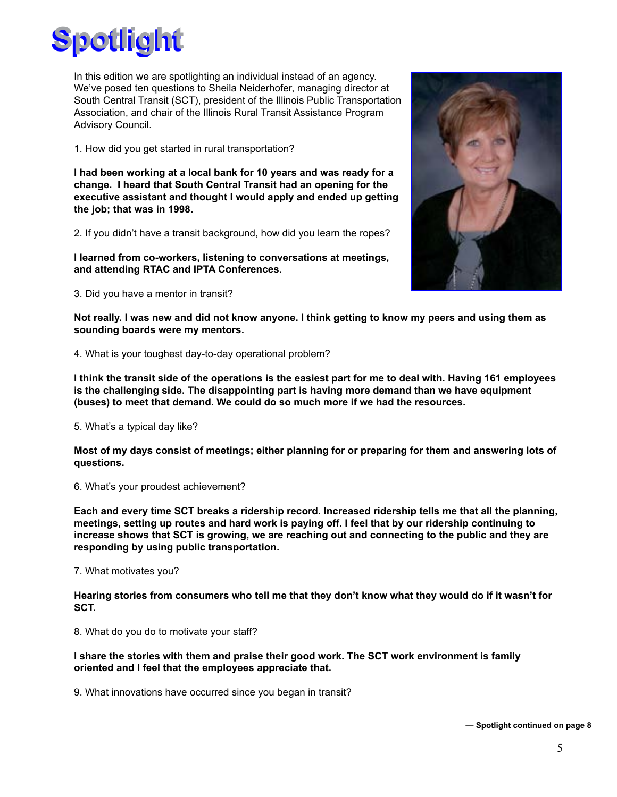

In this edition we are spotlighting an individual instead of an agency. We've posed ten questions to Sheila Neiderhofer, managing director at South Central Transit (SCT), president of the Illinois Public Transportation Association, and chair of the Illinois Rural Transit Assistance Program Advisory Council.

1. How did you get started in rural transportation?

**I had been working at a local bank for 10 years and was ready for a change. I heard that South Central Transit had an opening for the executive assistant and thought I would apply and ended up getting the job; that was in 1998.**

2. If you didn't have a transit background, how did you learn the ropes?

**I learned from co-workers, listening to conversations at meetings, and attending RTAC and IPTA Conferences.**

3. Did you have a mentor in transit?



**Not really. I was new and did not know anyone. I think getting to know my peers and using them as sounding boards were my mentors.** 

4. What is your toughest day-to-day operational problem?

**I think the transit side of the operations is the easiest part for me to deal with. Having 161 employees is the challenging side. The disappointing part is having more demand than we have equipment (buses) to meet that demand. We could do so much more if we had the resources.** 

5. What's a typical day like?

**Most of my days consist of meetings; either planning for or preparing for them and answering lots of questions.** 

6. What's your proudest achievement?

**Each and every time SCT breaks a ridership record. Increased ridership tells me that all the planning, meetings, setting up routes and hard work is paying off. I feel that by our ridership continuing to increase shows that SCT is growing, we are reaching out and connecting to the public and they are responding by using public transportation.** 

7. What motivates you?

**Hearing stories from consumers who tell me that they don't know what they would do if it wasn't for SCT.** 

8. What do you do to motivate your staff?

**I share the stories with them and praise their good work. The SCT work environment is family oriented and I feel that the employees appreciate that.** 

9. What innovations have occurred since you began in transit?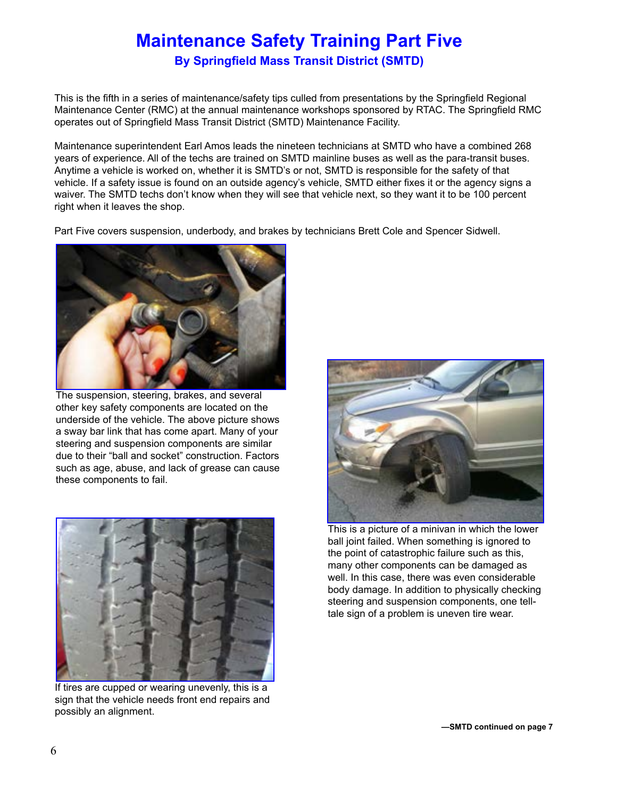# **Maintenance Safety Training Part Five**

**By Springfield Mass Transit District (SMTD)**

This is the fifth in a series of maintenance/safety tips culled from presentations by the Springfield Regional Maintenance Center (RMC) at the annual maintenance workshops sponsored by RTAC. The Springfield RMC operates out of Springfield Mass Transit District (SMTD) Maintenance Facility.

Maintenance superintendent Earl Amos leads the nineteen technicians at SMTD who have a combined 268 years of experience. All of the techs are trained on SMTD mainline buses as well as the para-transit buses. Anytime a vehicle is worked on, whether it is SMTD's or not, SMTD is responsible for the safety of that vehicle. If a safety issue is found on an outside agency's vehicle, SMTD either fixes it or the agency signs a waiver. The SMTD techs don't know when they will see that vehicle next, so they want it to be 100 percent right when it leaves the shop.

Part Five covers suspension, underbody, and brakes by technicians Brett Cole and Spencer Sidwell.



The suspension, steering, brakes, and several other key safety components are located on the underside of the vehicle. The above picture shows a sway bar link that has come apart. Many of your steering and suspension components are similar due to their "ball and socket" construction. Factors such as age, abuse, and lack of grease can cause these components to fail.



If tires are cupped or wearing unevenly, this is a sign that the vehicle needs front end repairs and possibly an alignment.



This is a picture of a minivan in which the lower ball joint failed. When something is ignored to the point of catastrophic failure such as this, many other components can be damaged as well. In this case, there was even considerable body damage. In addition to physically checking steering and suspension components, one telltale sign of a problem is uneven tire wear.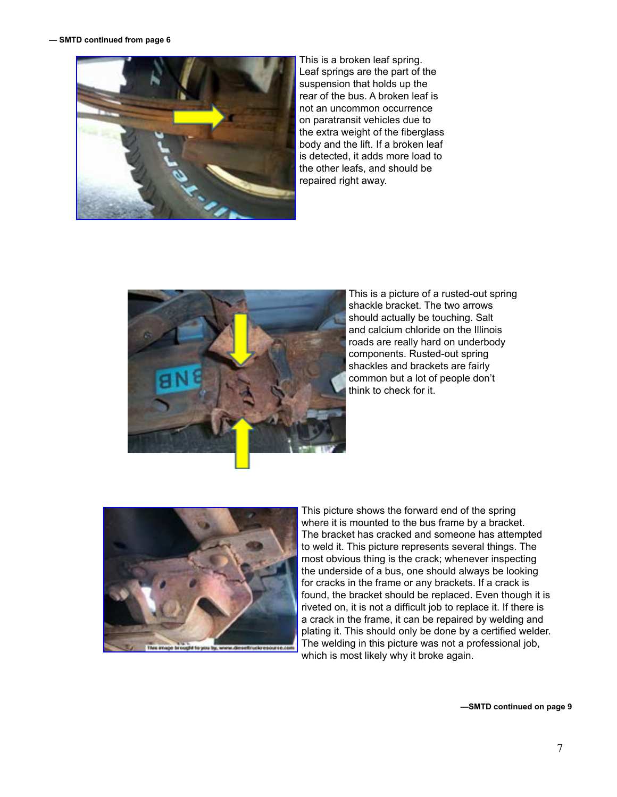

This is a broken leaf spring. Leaf springs are the part of the suspension that holds up the rear of the bus. A broken leaf is not an uncommon occurrence on paratransit vehicles due to the extra weight of the fiberglass body and the lift. If a broken leaf is detected, it adds more load to the other leafs, and should be repaired right away.



This is a picture of a rusted-out spring shackle bracket. The two arrows should actually be touching. Salt and calcium chloride on the Illinois roads are really hard on underbody components. Rusted-out spring shackles and brackets are fairly common but a lot of people don't think to check for it.



This picture shows the forward end of the spring where it is mounted to the bus frame by a bracket. The bracket has cracked and someone has attempted to weld it. This picture represents several things. The most obvious thing is the crack; whenever inspecting the underside of a bus, one should always be looking for cracks in the frame or any brackets. If a crack is found, the bracket should be replaced. Even though it is riveted on, it is not a difficult job to replace it. If there is a crack in the frame, it can be repaired by welding and plating it. This should only be done by a certified welder. The welding in this picture was not a professional job, which is most likely why it broke again.

**—SMTD continued on page 9**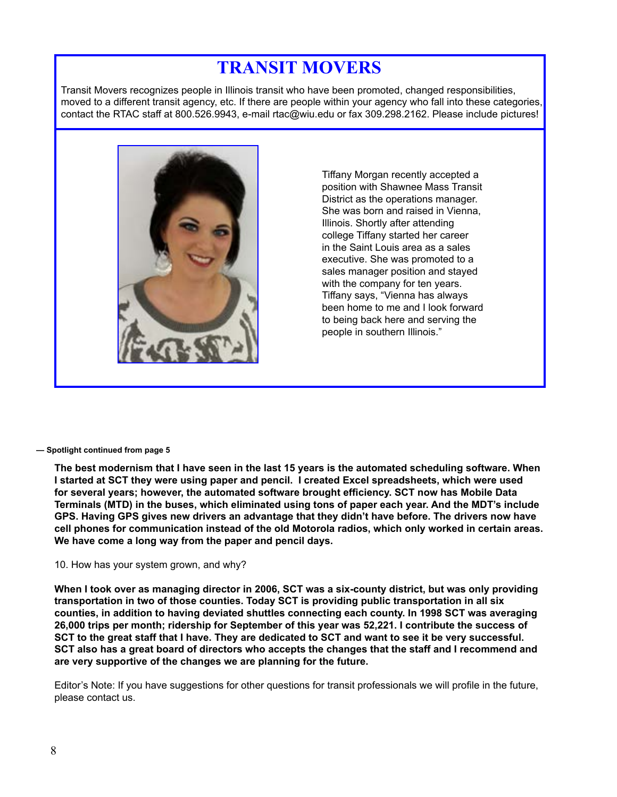# **TRANSIT MOVERS**

Transit Movers recognizes people in Illinois transit who have been promoted, changed responsibilities, moved to a different transit agency, etc. If there are people within your agency who fall into these categories, contact the RTAC staff at 800.526.9943, e-mail rtac@wiu.edu or fax 309.298.2162. Please include pictures!



Tiffany Morgan recently accepted a position with Shawnee Mass Transit District as the operations manager. She was born and raised in Vienna, Illinois. Shortly after attending college Tiffany started her career in the Saint Louis area as a sales executive. She was promoted to a sales manager position and stayed with the company for ten years. Tiffany says, "Vienna has always been home to me and I look forward to being back here and serving the people in southern Illinois."

### **— Spotlight continued from page 5**

**The best modernism that I have seen in the last 15 years is the automated scheduling software. When I started at SCT they were using paper and pencil. I created Excel spreadsheets, which were used for several years; however, the automated software brought efficiency. SCT now has Mobile Data Terminals (MTD) in the buses, which eliminated using tons of paper each year. And the MDT's include GPS. Having GPS gives new drivers an advantage that they didn't have before. The drivers now have cell phones for communication instead of the old Motorola radios, which only worked in certain areas. We have come a long way from the paper and pencil days.**

### 10. How has your system grown, and why?

**When I took over as managing director in 2006, SCT was a six-county district, but was only providing transportation in two of those counties. Today SCT is providing public transportation in all six counties, in addition to having deviated shuttles connecting each county. In 1998 SCT was averaging 26,000 trips per month; ridership for September of this year was 52,221. I contribute the success of SCT to the great staff that I have. They are dedicated to SCT and want to see it be very successful. SCT also has a great board of directors who accepts the changes that the staff and I recommend and are very supportive of the changes we are planning for the future.** 

Editor's Note: If you have suggestions for other questions for transit professionals we will profile in the future, please contact us.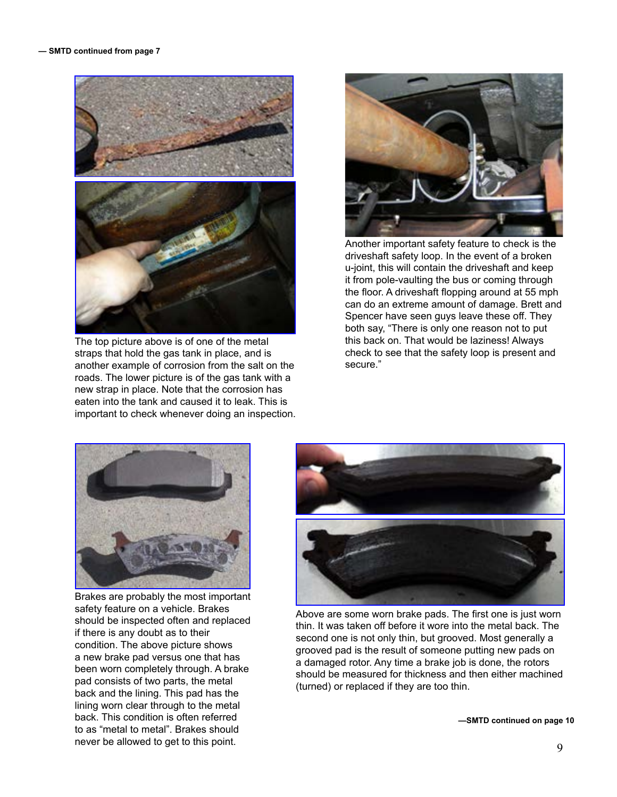

The top picture above is of one of the metal this back on. That would be laziness! Always straps that hold the gas tank in place, and is end is end on the check to see that the safety loop is present and<br>another example of corrosion from the salt on the secure." another example of corrosion from the salt on the roads. The lower picture is of the gas tank with a new strap in place. Note that the corrosion has eaten into the tank and caused it to leak. This is important to check whenever doing an inspection.



Another important safety feature to check is the driveshaft safety loop. In the event of a broken u-joint, this will contain the driveshaft and keep it from pole-vaulting the bus or coming through the floor. A driveshaft flopping around at 55 mph can do an extreme amount of damage. Brett and Spencer have seen guys leave these off. They both say, "There is only one reason not to put



Brakes are probably the most important lining worn clear through to the metal back. This condition is often referred **EXACTE 2008 —SMTD continued on page 10** to as "metal to metal". Brakes should never be allowed to get to this point.



safety feature on a vehicle. Brakes<br>
should be inspected often and replaced<br>
if there is any doubt as to their<br>
if there is any doubt as to their<br>
condition. The above picture shows<br>
a new brake pad versus one that has<br>
be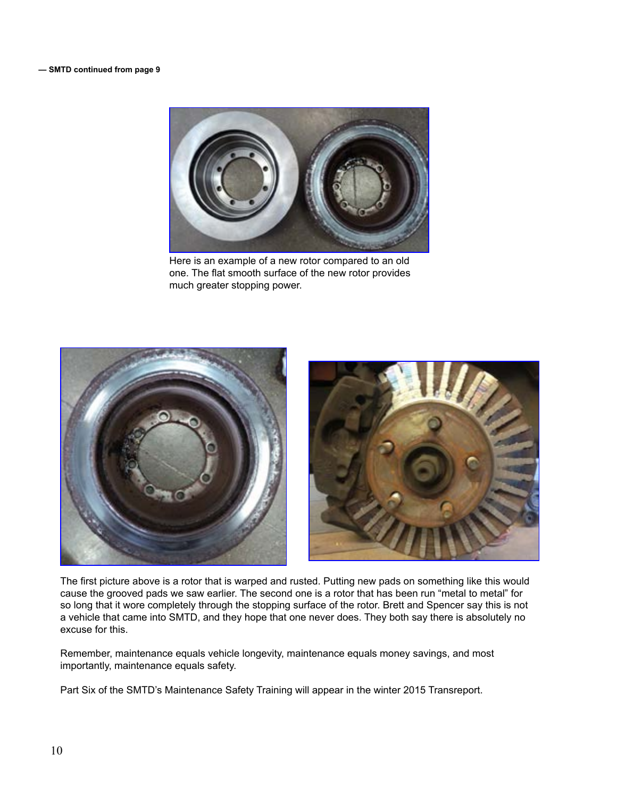

Here is an example of a new rotor compared to an old one. The flat smooth surface of the new rotor provides much greater stopping power.



The first picture above is a rotor that is warped and rusted. Putting new pads on something like this would cause the grooved pads we saw earlier. The second one is a rotor that has been run "metal to metal" for so long that it wore completely through the stopping surface of the rotor. Brett and Spencer say this is not a vehicle that came into SMTD, and they hope that one never does. They both say there is absolutely no excuse for this.

Remember, maintenance equals vehicle longevity, maintenance equals money savings, and most importantly, maintenance equals safety.

Part Six of the SMTD's Maintenance Safety Training will appear in the winter 2015 Transreport.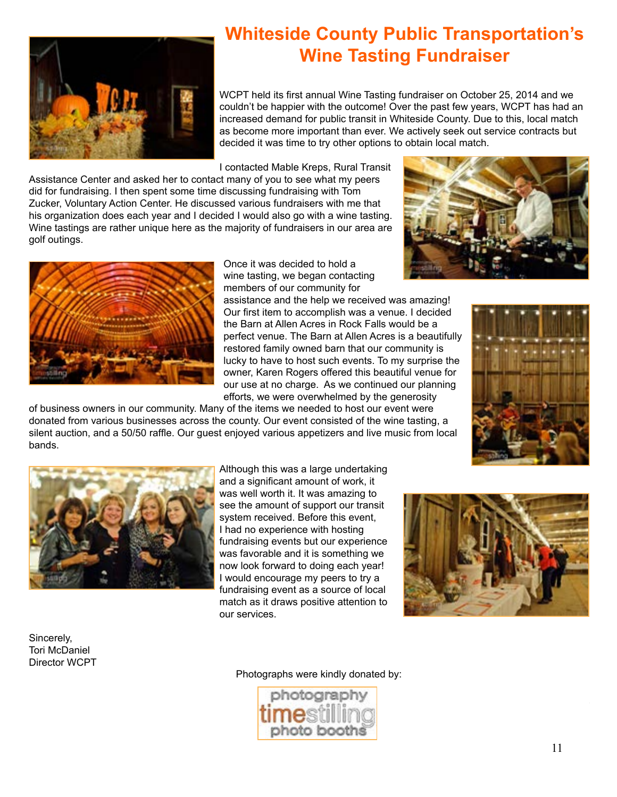

# **Whiteside County Public Transportation's Wine Tasting Fundraiser**

WCPT held its first annual Wine Tasting fundraiser on October 25, 2014 and we couldn't be happier with the outcome! Over the past few years, WCPT has had an increased demand for public transit in Whiteside County. Due to this, local match as become more important than ever. We actively seek out service contracts but decided it was time to try other options to obtain local match.

I contacted Mable Kreps, Rural Transit

Assistance Center and asked her to contact many of you to see what my peers did for fundraising. I then spent some time discussing fundraising with Tom Zucker, Voluntary Action Center. He discussed various fundraisers with me that his organization does each year and I decided I would also go with a wine tasting. Wine tastings are rather unique here as the majority of fundraisers in our area are golf outings.



Once it was decided to hold a wine tasting, we began contacting members of our community for

assistance and the help we received was amazing! Our first item to accomplish was a venue. I decided the Barn at Allen Acres in Rock Falls would be a perfect venue. The Barn at Allen Acres is a beautifully restored family owned barn that our community is lucky to have to host such events. To my surprise the owner, Karen Rogers offered this beautiful venue for our use at no charge. As we continued our planning efforts, we were overwhelmed by the generosity









Sincerely, Tori McDaniel Director WCPT Although this was a large undertaking and a significant amount of work, it was well worth it. It was amazing to see the amount of support our transit system received. Before this event, I had no experience with hosting fundraising events but our experience was favorable and it is something we now look forward to doing each year! I would encourage my peers to try a fundraising event as a source of local match as it draws positive attention to our services.



Photographs were kindly donated by: